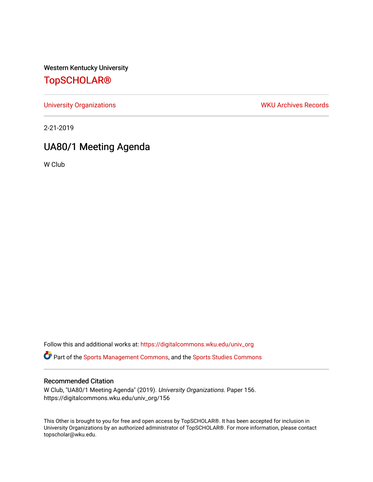Western Kentucky University

# [TopSCHOLAR®](https://digitalcommons.wku.edu/)

[University Organizations](https://digitalcommons.wku.edu/univ_org) **WKU Archives Records** 

2-21-2019

# UA80/1 Meeting Agenda

W Club

Follow this and additional works at: [https://digitalcommons.wku.edu/univ\\_org](https://digitalcommons.wku.edu/univ_org?utm_source=digitalcommons.wku.edu%2Funiv_org%2F156&utm_medium=PDF&utm_campaign=PDFCoverPages) 

**C** Part of the [Sports Management Commons](http://network.bepress.com/hgg/discipline/1193?utm_source=digitalcommons.wku.edu%2Funiv_org%2F156&utm_medium=PDF&utm_campaign=PDFCoverPages), and the [Sports Studies Commons](http://network.bepress.com/hgg/discipline/1198?utm_source=digitalcommons.wku.edu%2Funiv_org%2F156&utm_medium=PDF&utm_campaign=PDFCoverPages)

#### Recommended Citation

W Club, "UA80/1 Meeting Agenda" (2019). University Organizations. Paper 156. https://digitalcommons.wku.edu/univ\_org/156

This Other is brought to you for free and open access by TopSCHOLAR®. It has been accepted for inclusion in University Organizations by an authorized administrator of TopSCHOLAR®. For more information, please contact topscholar@wku.edu.